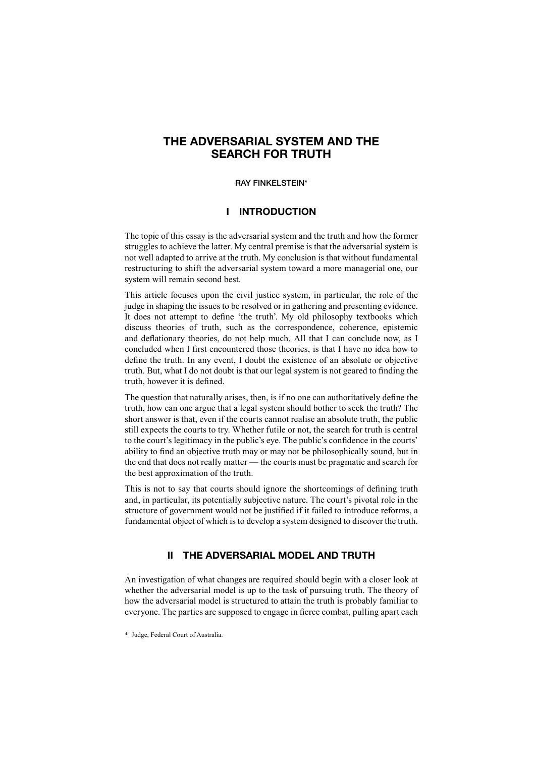# **THE ADVERSARIAL SYSTEM AND THE SEARCH FOR TRUTH**

#### **RAY FINKELSTEIN\***

## **I INTRODUCTION**

The topic of this essay is the adversarial system and the truth and how the former struggles to achieve the latter. My central premise is that the adversarial system is not well adapted to arrive at the truth. My conclusion is that without fundamental restructuring to shift the adversarial system toward a more managerial one, our system will remain second best.

This article focuses upon the civil justice system, in particular, the role of the judge in shaping the issues to be resolved or in gathering and presenting evidence. It does not attempt to define 'the truth'. My old philosophy textbooks which discuss theories of truth, such as the correspondence, coherence, epistemic and deflationary theories, do not help much. All that I can conclude now, as I concluded when I first encountered those theories, is that I have no idea how to define the truth. In any event, I doubt the existence of an absolute or objective truth. But, what I do not doubt is that our legal system is not geared to finding the truth, however it is defined.

The question that naturally arises, then, is if no one can authoritatively define the truth, how can one argue that a legal system should bother to seek the truth? The short answer is that, even if the courts cannot realise an absolute truth, the public still expects the courts to try. Whether futile or not, the search for truth is central to the court's legitimacy in the public's eye. The public's confidence in the courts' ability to find an objective truth may or may not be philosophically sound, but in the end that does not really matter — the courts must be pragmatic and search for the best approximation of the truth.

This is not to say that courts should ignore the shortcomings of defining truth and, in particular, its potentially subjective nature. The court's pivotal role in the structure of government would not be justified if it failed to introduce reforms, a fundamental object of which is to develop a system designed to discover the truth.

## **II THE ADVERSARIAL MODEL AND TRUTH**

An investigation of what changes are required should begin with a closer look at whether the adversarial model is up to the task of pursuing truth. The theory of how the adversarial model is structured to attain the truth is probably familiar to everyone. The parties are supposed to engage in fierce combat, pulling apart each

<sup>\*</sup> Judge, Federal Court of Australia.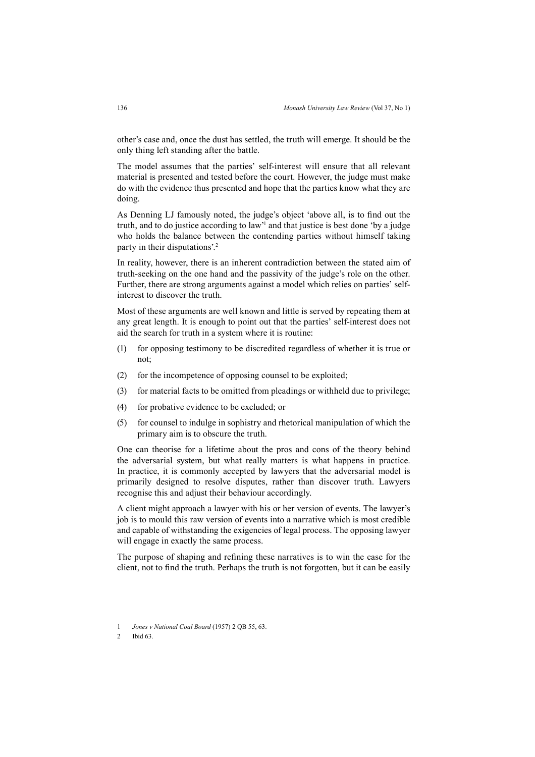other's case and, once the dust has settled, the truth will emerge. It should be the only thing left standing after the battle.

The model assumes that the parties' self-interest will ensure that all relevant material is presented and tested before the court. However, the judge must make do with the evidence thus presented and hope that the parties know what they are doing.

As Denning LJ famously noted, the judge's object 'above all, is to find out the truth, and to do justice according to law'1 and that justice is best done 'by a judge who holds the balance between the contending parties without himself taking party in their disputations'.2

In reality, however, there is an inherent contradiction between the stated aim of truth-seeking on the one hand and the passivity of the judge's role on the other. Further, there are strong arguments against a model which relies on parties' selfinterest to discover the truth.

Most of these arguments are well known and little is served by repeating them at any great length. It is enough to point out that the parties' self-interest does not aid the search for truth in a system where it is routine:

- (1) for opposing testimony to be discredited regardless of whether it is true or not;
- (2) for the incompetence of opposing counsel to be exploited;
- (3) for material facts to be omitted from pleadings or withheld due to privilege;
- (4) for probative evidence to be excluded; or
- (5) for counsel to indulge in sophistry and rhetorical manipulation of which the primary aim is to obscure the truth.

One can theorise for a lifetime about the pros and cons of the theory behind the adversarial system, but what really matters is what happens in practice. In practice, it is commonly accepted by lawyers that the adversarial model is primarily designed to resolve disputes, rather than discover truth. Lawyers recognise this and adjust their behaviour accordingly.

A client might approach a lawyer with his or her version of events. The lawyer's job is to mould this raw version of events into a narrative which is most credible and capable of withstanding the exigencies of legal process. The opposing lawyer will engage in exactly the same process.

The purpose of shaping and refining these narratives is to win the case for the client, not to find the truth. Perhaps the truth is not forgotten, but it can be easily

<sup>1</sup> *Jones v National Coal Board* (1957) 2 QB 55, 63.

<sup>2</sup> Ibid 63.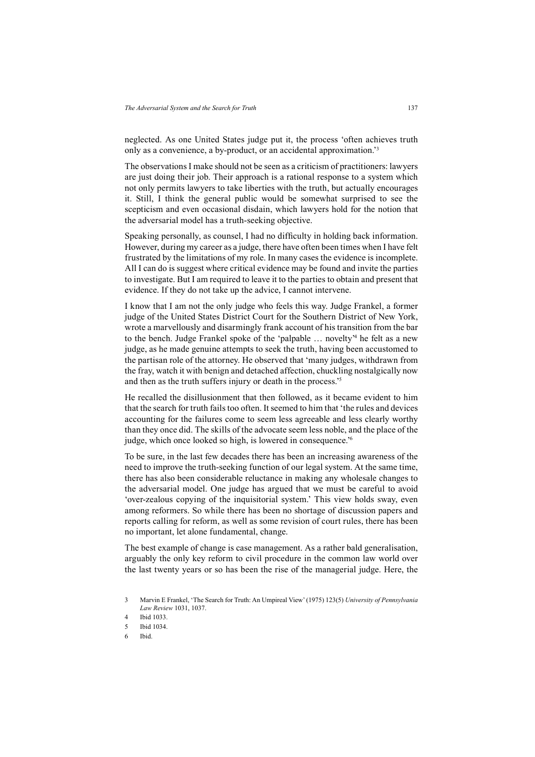neglected. As one United States judge put it, the process 'often achieves truth only as a convenience, a by-product, or an accidental approximation.'3

The observations I make should not be seen as a criticism of practitioners: lawyers are just doing their job. Their approach is a rational response to a system which not only permits lawyers to take liberties with the truth, but actually encourages it. Still, I think the general public would be somewhat surprised to see the scepticism and even occasional disdain, which lawyers hold for the notion that the adversarial model has a truth-seeking objective.

Speaking personally, as counsel, I had no difficulty in holding back information. However, during my career as a judge, there have often been times when I have felt frustrated by the limitations of my role. In many cases the evidence is incomplete. All I can do is suggest where critical evidence may be found and invite the parties to investigate. But I am required to leave it to the parties to obtain and present that evidence. If they do not take up the advice, I cannot intervene.

I know that I am not the only judge who feels this way. Judge Frankel, a former judge of the United States District Court for the Southern District of New York, wrote a marvellously and disarmingly frank account of his transition from the bar to the bench. Judge Frankel spoke of the 'palpable … novelty'4 he felt as a new judge, as he made genuine attempts to seek the truth, having been accustomed to the partisan role of the attorney. He observed that 'many judges, withdrawn from the fray, watch it with benign and detached affection, chuckling nostalgically now and then as the truth suffers injury or death in the process.'5

He recalled the disillusionment that then followed, as it became evident to him that the search for truth fails too often. It seemed to him that 'the rules and devices accounting for the failures come to seem less agreeable and less clearly worthy than they once did. The skills of the advocate seem less noble, and the place of the judge, which once looked so high, is lowered in consequence.'6

To be sure, in the last few decades there has been an increasing awareness of the need to improve the truth-seeking function of our legal system. At the same time, there has also been considerable reluctance in making any wholesale changes to the adversarial model. One judge has argued that we must be careful to avoid 'over-zealous copying of the inquisitorial system.' This view holds sway, even among reformers. So while there has been no shortage of discussion papers and reports calling for reform, as well as some revision of court rules, there has been no important, let alone fundamental, change.

The best example of change is case management. As a rather bald generalisation, arguably the only key reform to civil procedure in the common law world over the last twenty years or so has been the rise of the managerial judge. Here, the

<sup>3</sup> Marvin E Frankel, 'The Search for Truth: An Umpireal View' (1975) 123(5) *University of Pennsylvania Law Review* 1031, 1037.

<sup>4</sup> Ibid 1033.

<sup>5</sup> Ibid 1034.

<sup>6</sup> Ibid.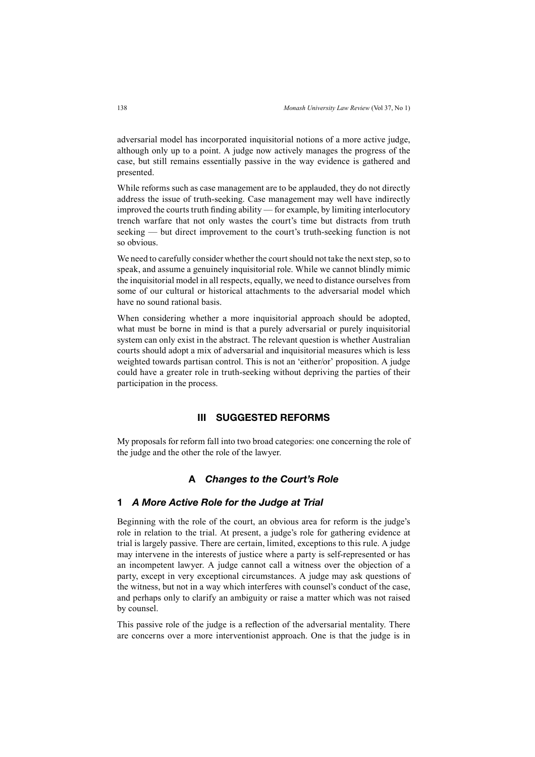adversarial model has incorporated inquisitorial notions of a more active judge, although only up to a point. A judge now actively manages the progress of the case, but still remains essentially passive in the way evidence is gathered and presented.

While reforms such as case management are to be applauded, they do not directly address the issue of truth-seeking. Case management may well have indirectly improved the courts truth finding ability — for example, by limiting interlocutory trench warfare that not only wastes the court's time but distracts from truth seeking — but direct improvement to the court's truth-seeking function is not so obvious.

We need to carefully consider whether the court should not take the next step, so to speak, and assume a genuinely inquisitorial role. While we cannot blindly mimic the inquisitorial model in all respects, equally, we need to distance ourselves from some of our cultural or historical attachments to the adversarial model which have no sound rational basis.

When considering whether a more inquisitorial approach should be adopted, what must be borne in mind is that a purely adversarial or purely inquisitorial system can only exist in the abstract. The relevant question is whether Australian courts should adopt a mix of adversarial and inquisitorial measures which is less weighted towards partisan control. This is not an 'either/or' proposition. A judge could have a greater role in truth-seeking without depriving the parties of their participation in the process.

### **III SUGGESTED REFORMS**

My proposals for reform fall into two broad categories: one concerning the role of the judge and the other the role of the lawyer.

## **A** *Changes to the Court's Role*

#### **1** *A More Active Role for the Judge at Trial*

Beginning with the role of the court, an obvious area for reform is the judge's role in relation to the trial. At present, a judge's role for gathering evidence at trial is largely passive. There are certain, limited, exceptions to this rule. A judge may intervene in the interests of justice where a party is self-represented or has an incompetent lawyer. A judge cannot call a witness over the objection of a party, except in very exceptional circumstances. A judge may ask questions of the witness, but not in a way which interferes with counsel's conduct of the case, and perhaps only to clarify an ambiguity or raise a matter which was not raised by counsel.

This passive role of the judge is a reflection of the adversarial mentality. There are concerns over a more interventionist approach. One is that the judge is in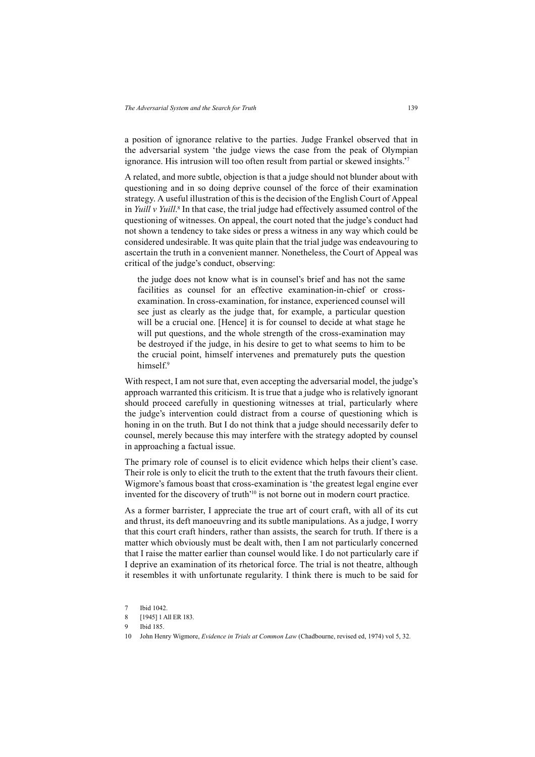a position of ignorance relative to the parties. Judge Frankel observed that in the adversarial system 'the judge views the case from the peak of Olympian ignorance. His intrusion will too often result from partial or skewed insights.'7

A related, and more subtle, objection is that a judge should not blunder about with questioning and in so doing deprive counsel of the force of their examination strategy. A useful illustration of this is the decision of the English Court of Appeal in *Yuill v Yuill*. <sup>8</sup> In that case, the trial judge had effectively assumed control of the questioning of witnesses. On appeal, the court noted that the judge's conduct had not shown a tendency to take sides or press a witness in any way which could be considered undesirable. It was quite plain that the trial judge was endeavouring to ascertain the truth in a convenient manner. Nonetheless, the Court of Appeal was critical of the judge's conduct, observing:

the judge does not know what is in counsel's brief and has not the same facilities as counsel for an effective examination-in-chief or crossexamination. In cross-examination, for instance, experienced counsel will see just as clearly as the judge that, for example, a particular question will be a crucial one. [Hence] it is for counsel to decide at what stage he will put questions, and the whole strength of the cross-examination may be destroyed if the judge, in his desire to get to what seems to him to be the crucial point, himself intervenes and prematurely puts the question himself.<sup>9</sup>

With respect. I am not sure that, even accepting the adversarial model, the judge's approach warranted this criticism. It is true that a judge who is relatively ignorant should proceed carefully in questioning witnesses at trial, particularly where the judge's intervention could distract from a course of questioning which is honing in on the truth. But I do not think that a judge should necessarily defer to counsel, merely because this may interfere with the strategy adopted by counsel in approaching a factual issue.

The primary role of counsel is to elicit evidence which helps their client's case. Their role is only to elicit the truth to the extent that the truth favours their client. Wigmore's famous boast that cross-examination is 'the greatest legal engine ever invented for the discovery of truth'10 is not borne out in modern court practice.

As a former barrister, I appreciate the true art of court craft, with all of its cut and thrust, its deft manoeuvring and its subtle manipulations. As a judge, I worry that this court craft hinders, rather than assists, the search for truth. If there is a matter which obviously must be dealt with, then I am not particularly concerned that I raise the matter earlier than counsel would like. I do not particularly care if I deprive an examination of its rhetorical force. The trial is not theatre, although it resembles it with unfortunate regularity. I think there is much to be said for

<sup>7</sup> Ibid 1042.

<sup>8 [1945] 1</sup> All ER 183.

<sup>9</sup> Ibid 185.

<sup>10</sup> John Henry Wigmore, *Evidence in Trials at Common Law* (Chadbourne, revised ed, 1974) vol 5, 32.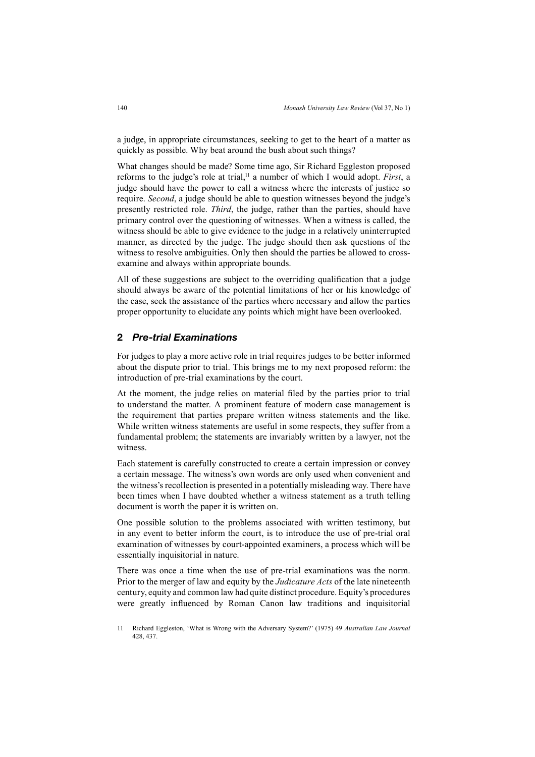a judge, in appropriate circumstances, seeking to get to the heart of a matter as quickly as possible. Why beat around the bush about such things?

What changes should be made? Some time ago, Sir Richard Eggleston proposed reforms to the judge's role at trial,<sup>11</sup> a number of which I would adopt. *First*, a judge should have the power to call a witness where the interests of justice so require. *Second*, a judge should be able to question witnesses beyond the judge's presently restricted role. *Third*, the judge, rather than the parties, should have primary control over the questioning of witnesses. When a witness is called, the witness should be able to give evidence to the judge in a relatively uninterrupted manner, as directed by the judge. The judge should then ask questions of the witness to resolve ambiguities. Only then should the parties be allowed to crossexamine and always within appropriate bounds.

All of these suggestions are subject to the overriding qualification that a judge should always be aware of the potential limitations of her or his knowledge of the case, seek the assistance of the parties where necessary and allow the parties proper opportunity to elucidate any points which might have been overlooked.

#### **2** *Pre-trial Examinations*

For judges to play a more active role in trial requires judges to be better informed about the dispute prior to trial. This brings me to my next proposed reform: the introduction of pre-trial examinations by the court.

At the moment, the judge relies on material filed by the parties prior to trial to understand the matter. A prominent feature of modern case management is the requirement that parties prepare written witness statements and the like. While written witness statements are useful in some respects, they suffer from a fundamental problem; the statements are invariably written by a lawyer, not the witness.

Each statement is carefully constructed to create a certain impression or convey a certain message. The witness's own words are only used when convenient and the witness's recollection is presented in a potentially misleading way. There have been times when I have doubted whether a witness statement as a truth telling document is worth the paper it is written on.

One possible solution to the problems associated with written testimony, but in any event to better inform the court, is to introduce the use of pre-trial oral examination of witnesses by court-appointed examiners, a process which will be essentially inquisitorial in nature.

There was once a time when the use of pre-trial examinations was the norm. Prior to the merger of law and equity by the *Judicature Acts* of the late nineteenth century, equity and common law had quite distinct procedure. Equity's procedures were greatly influenced by Roman Canon law traditions and inquisitorial

<sup>11</sup> Richard Eggleston, 'What is Wrong with the Adversary System?' (1975) 49 *Australian Law Journal* 428, 437.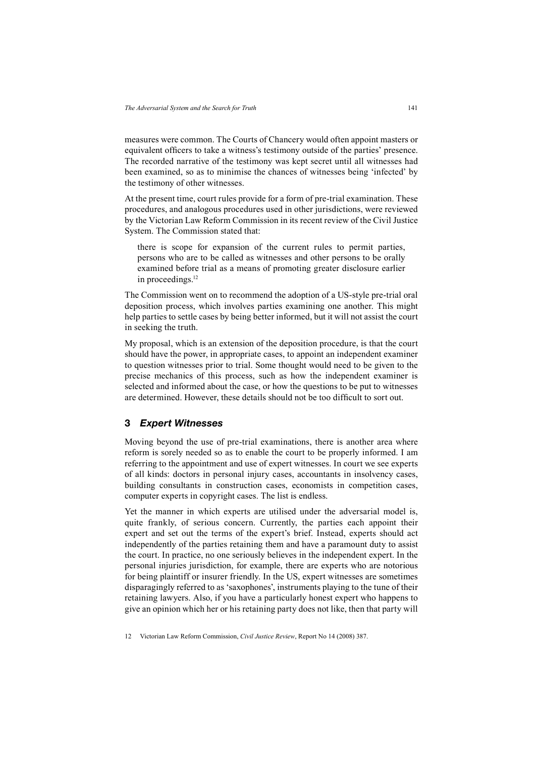measures were common. The Courts of Chancery would often appoint masters or equivalent officers to take a witness's testimony outside of the parties' presence. The recorded narrative of the testimony was kept secret until all witnesses had been examined, so as to minimise the chances of witnesses being 'infected' by the testimony of other witnesses.

At the present time, court rules provide for a form of pre-trial examination. These procedures, and analogous procedures used in other jurisdictions, were reviewed by the Victorian Law Reform Commission in its recent review of the Civil Justice System. The Commission stated that:

there is scope for expansion of the current rules to permit parties, persons who are to be called as witnesses and other persons to be orally examined before trial as a means of promoting greater disclosure earlier in proceedings.<sup>12</sup>

The Commission went on to recommend the adoption of a US-style pre-trial oral deposition process, which involves parties examining one another. This might help parties to settle cases by being better informed, but it will not assist the court in seeking the truth.

My proposal, which is an extension of the deposition procedure, is that the court should have the power, in appropriate cases, to appoint an independent examiner to question witnesses prior to trial. Some thought would need to be given to the precise mechanics of this process, such as how the independent examiner is selected and informed about the case, or how the questions to be put to witnesses are determined. However, these details should not be too difficult to sort out.

#### **3** *Expert Witnesses*

Moving beyond the use of pre-trial examinations, there is another area where reform is sorely needed so as to enable the court to be properly informed. I am referring to the appointment and use of expert witnesses. In court we see experts of all kinds: doctors in personal injury cases, accountants in insolvency cases, building consultants in construction cases, economists in competition cases, computer experts in copyright cases. The list is endless.

Yet the manner in which experts are utilised under the adversarial model is, quite frankly, of serious concern. Currently, the parties each appoint their expert and set out the terms of the expert's brief. Instead, experts should act independently of the parties retaining them and have a paramount duty to assist the court. In practice, no one seriously believes in the independent expert. In the personal injuries jurisdiction, for example, there are experts who are notorious for being plaintiff or insurer friendly. In the US, expert witnesses are sometimes disparagingly referred to as 'saxophones', instruments playing to the tune of their retaining lawyers. Also, if you have a particularly honest expert who happens to give an opinion which her or his retaining party does not like, then that party will

<sup>12</sup> Victorian Law Reform Commission, *Civil Justice Review*, Report No 14 (2008) 387.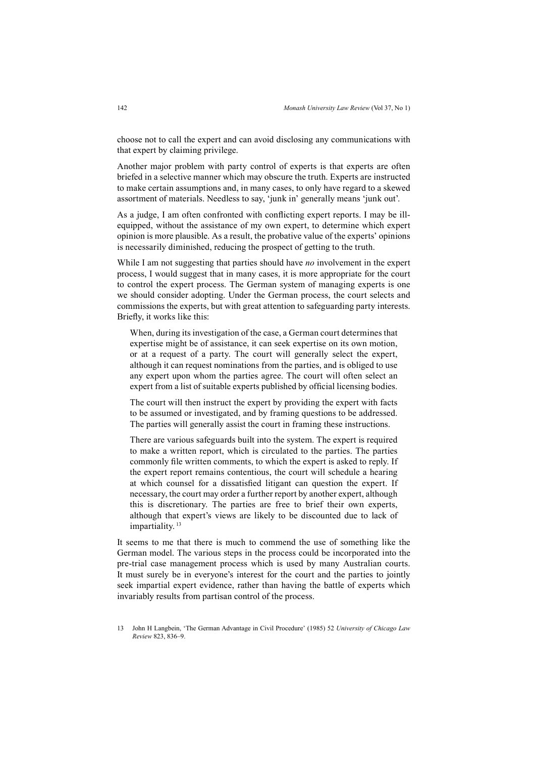choose not to call the expert and can avoid disclosing any communications with that expert by claiming privilege.

Another major problem with party control of experts is that experts are often briefed in a selective manner which may obscure the truth. Experts are instructed to make certain assumptions and, in many cases, to only have regard to a skewed assortment of materials. Needless to say, 'junk in' generally means 'junk out'.

As a judge, I am often confronted with conflicting expert reports. I may be illequipped, without the assistance of my own expert, to determine which expert opinion is more plausible. As a result, the probative value of the experts' opinions is necessarily diminished, reducing the prospect of getting to the truth.

While I am not suggesting that parties should have *no* involvement in the expert process, I would suggest that in many cases, it is more appropriate for the court to control the expert process. The German system of managing experts is one we should consider adopting. Under the German process, the court selects and commissions the experts, but with great attention to safeguarding party interests. Briefly, it works like this:

When, during its investigation of the case, a German court determines that expertise might be of assistance, it can seek expertise on its own motion, or at a request of a party. The court will generally select the expert, although it can request nominations from the parties, and is obliged to use any expert upon whom the parties agree. The court will often select an expert from a list of suitable experts published by official licensing bodies.

The court will then instruct the expert by providing the expert with facts to be assumed or investigated, and by framing questions to be addressed. The parties will generally assist the court in framing these instructions.

There are various safeguards built into the system. The expert is required to make a written report, which is circulated to the parties. The parties commonly file written comments, to which the expert is asked to reply. If the expert report remains contentious, the court will schedule a hearing at which counsel for a dissatisfied litigant can question the expert. If necessary, the court may order a further report by another expert, although this is discretionary. The parties are free to brief their own experts, although that expert's views are likely to be discounted due to lack of impartiality.<sup>13</sup>

It seems to me that there is much to commend the use of something like the German model. The various steps in the process could be incorporated into the pre-trial case management process which is used by many Australian courts. It must surely be in everyone's interest for the court and the parties to jointly seek impartial expert evidence, rather than having the battle of experts which invariably results from partisan control of the process.

<sup>13</sup> John H Langbein, 'The German Advantage in Civil Procedure' (1985) 52 *University of Chicago Law Review* 823, 836–9.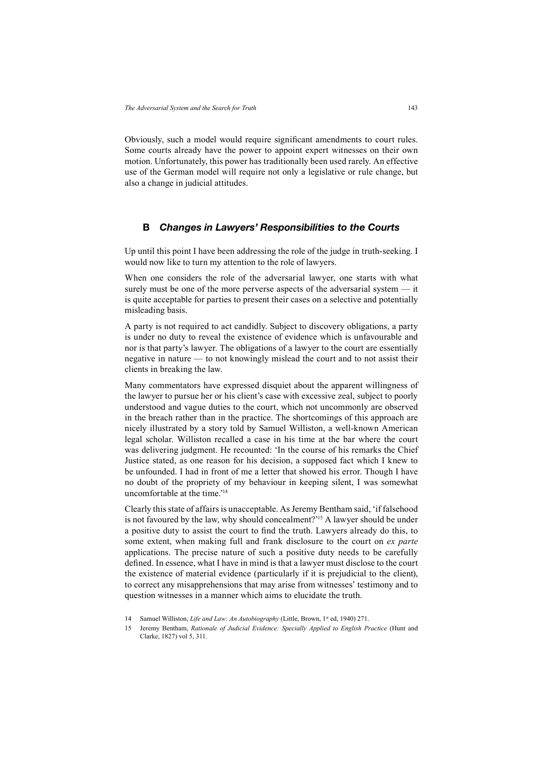Obviously, such a model would require significant amendments to court rules. Some courts already have the power to appoint expert witnesses on their own motion. Unfortunately, this power has traditionally been used rarely. An effective use of the German model will require not only a legislative or rule change, but also a change in judicial attitudes.

#### **B** *Changes in Lawyers' Responsibilities to the Courts*

Up until this point I have been addressing the role of the judge in truth-seeking. I would now like to turn my attention to the role of lawyers.

When one considers the role of the adversarial lawyer, one starts with what surely must be one of the more perverse aspects of the adversarial system — it is quite acceptable for parties to present their cases on a selective and potentially misleading basis.

A party is not required to act candidly. Subject to discovery obligations, a party is under no duty to reveal the existence of evidence which is unfavourable and nor is that party's lawyer. The obligations of a lawyer to the court are essentially negative in nature — to not knowingly mislead the court and to not assist their clients in breaking the law.

Many commentators have expressed disquiet about the apparent willingness of the lawyer to pursue her or his client's case with excessive zeal, subject to poorly understood and vague duties to the court, which not uncommonly are observed in the breach rather than in the practice. The shortcomings of this approach are nicely illustrated by a story told by Samuel Williston, a well-known American legal scholar. Williston recalled a case in his time at the bar where the court was delivering judgment. He recounted: 'In the course of his remarks the Chief Justice stated, as one reason for his decision, a supposed fact which I knew to be unfounded. I had in front of me a letter that showed his error. Though I have no doubt of the propriety of my behaviour in keeping silent, I was somewhat uncomfortable at the time.'14

Clearly this state of affairs is unacceptable. As Jeremy Bentham said, 'if falsehood is not favoured by the law, why should concealment?'15 A lawyer should be under a positive duty to assist the court to find the truth. Lawyers already do this, to some extent, when making full and frank disclosure to the court on *ex parte*  applications. The precise nature of such a positive duty needs to be carefully defined. In essence, what I have in mind is that a lawyer must disclose to the court the existence of material evidence (particularly if it is prejudicial to the client), to correct any misapprehensions that may arise from witnesses' testimony and to question witnesses in a manner which aims to elucidate the truth.

15 Jeremy Bentham, *Rationale of Judicial Evidence: Specially Applied to English Practice* (Hunt and Clarke, 1827) vol 5, 311.

<sup>14</sup> Samuel Williston, *Life and Law: An Autobiography* (Little, Brown, 1st ed, 1940) 271.